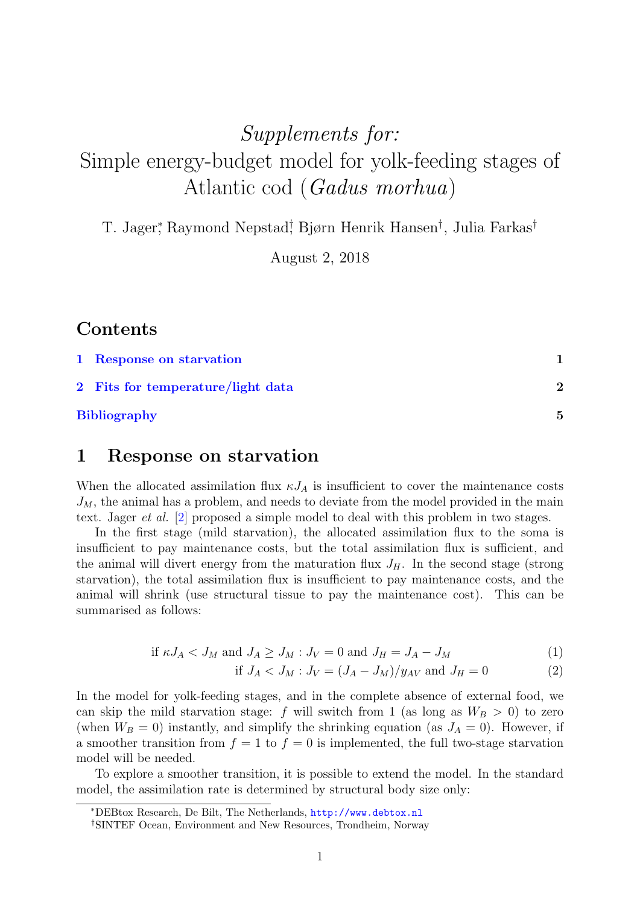# Supplements for: Simple energy-budget model for yolk-feeding stages of Atlantic cod (Gadus morhua)

T. Jager<sup>\*</sup>, Raymond Nepstad<sup>†</sup> Bjørn Henrik Hansen<sup>†</sup>, Julia Farkas<sup>†</sup>

August 2, 2018

### Contents

| 1 Response on starvation          |   |
|-----------------------------------|---|
| 2 Fits for temperature/light data | 2 |
| <b>Bibliography</b>               | 5 |

#### <span id="page-0-0"></span>1 Response on starvation

When the allocated assimilation flux  $\kappa J_A$  is insufficient to cover the maintenance costs  $J_M$ , the animal has a problem, and needs to deviate from the model provided in the main text. Jager et al. [\[2\]](#page-4-0) proposed a simple model to deal with this problem in two stages.

In the first stage (mild starvation), the allocated assimilation flux to the soma is insufficient to pay maintenance costs, but the total assimilation flux is sufficient, and the animal will divert energy from the maturation flux  $J_H$ . In the second stage (strong starvation), the total assimilation flux is insufficient to pay maintenance costs, and the animal will shrink (use structural tissue to pay the maintenance cost). This can be summarised as follows:

$$
\text{if } \kappa J_A < J_M \text{ and } J_A \geq J_M : J_V = 0 \text{ and } J_H = J_A - J_M \tag{1}
$$

if 
$$
J_A < J_M : J_V = (J_A - J_M)/y_{AV}
$$
 and  $J_H = 0$  (2)

In the model for yolk-feeding stages, and in the complete absence of external food, we can skip the mild starvation stage: f will switch from 1 (as long as  $W_B > 0$ ) to zero (when  $W_B = 0$ ) instantly, and simplify the shrinking equation (as  $J_A = 0$ ). However, if a smoother transition from  $f = 1$  to  $f = 0$  is implemented, the full two-stage starvation model will be needed.

To explore a smoother transition, it is possible to extend the model. In the standard model, the assimilation rate is determined by structural body size only:

<sup>∗</sup>DEBtox Research, De Bilt, The Netherlands, <http://www.debtox.nl>

<sup>†</sup>SINTEF Ocean, Environment and New Resources, Trondheim, Norway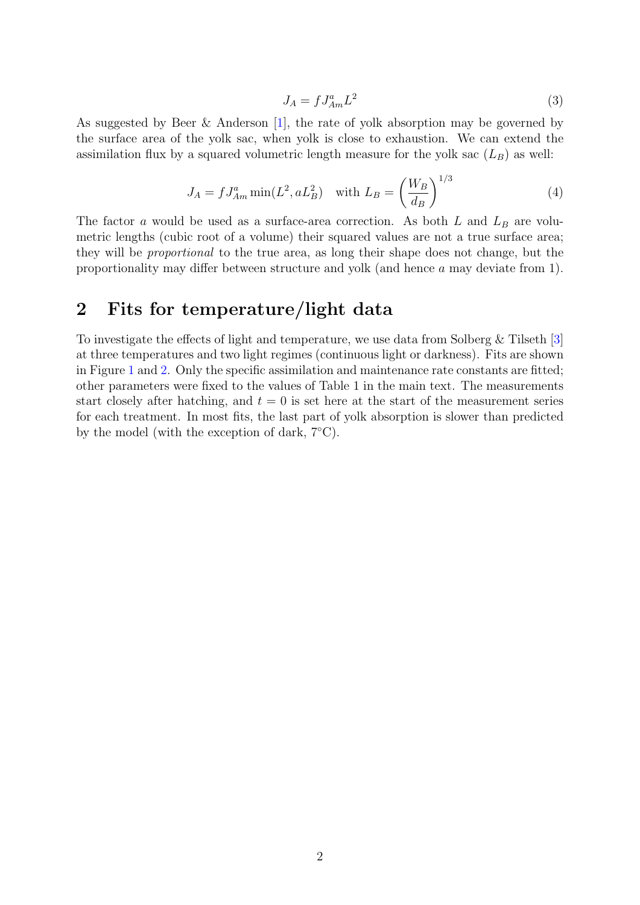$$
J_A = f J_{Am}^a L^2 \tag{3}
$$

As suggested by Beer & Anderson [\[1\]](#page-4-1), the rate of yolk absorption may be governed by the surface area of the yolk sac, when yolk is close to exhaustion. We can extend the assimilation flux by a squared volumetric length measure for the yolk sac  $(L_B)$  as well:

$$
J_A = f J_{Am}^a \min(L^2, a L_B^2) \quad \text{with } L_B = \left(\frac{W_B}{d_B}\right)^{1/3} \tag{4}
$$

The factor a would be used as a surface-area correction. As both  $L$  and  $L_B$  are volumetric lengths (cubic root of a volume) their squared values are not a true surface area; they will be proportional to the true area, as long their shape does not change, but the proportionality may differ between structure and yolk (and hence a may deviate from 1).

#### <span id="page-1-0"></span>2 Fits for temperature/light data

To investigate the effects of light and temperature, we use data from Solberg & Tilseth [\[3\]](#page-4-2) at three temperatures and two light regimes (continuous light or darkness). Fits are shown in Figure [1](#page-2-0) and [2.](#page-3-0) Only the specific assimilation and maintenance rate constants are fitted; other parameters were fixed to the values of Table 1 in the main text. The measurements start closely after hatching, and  $t = 0$  is set here at the start of the measurement series for each treatment. In most fits, the last part of yolk absorption is slower than predicted by the model (with the exception of dark,  $7^{\circ}$ C).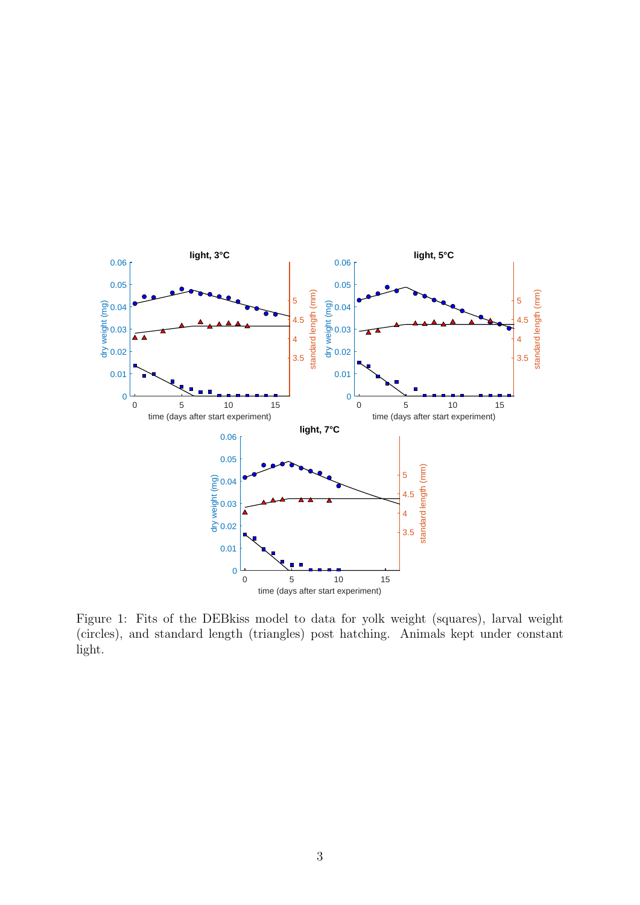

<span id="page-2-0"></span>Figure 1: Fits of the DEBkiss model to data for yolk weight (squares), larval weight (circles), and standard length (triangles) post hatching. Animals kept under constant light.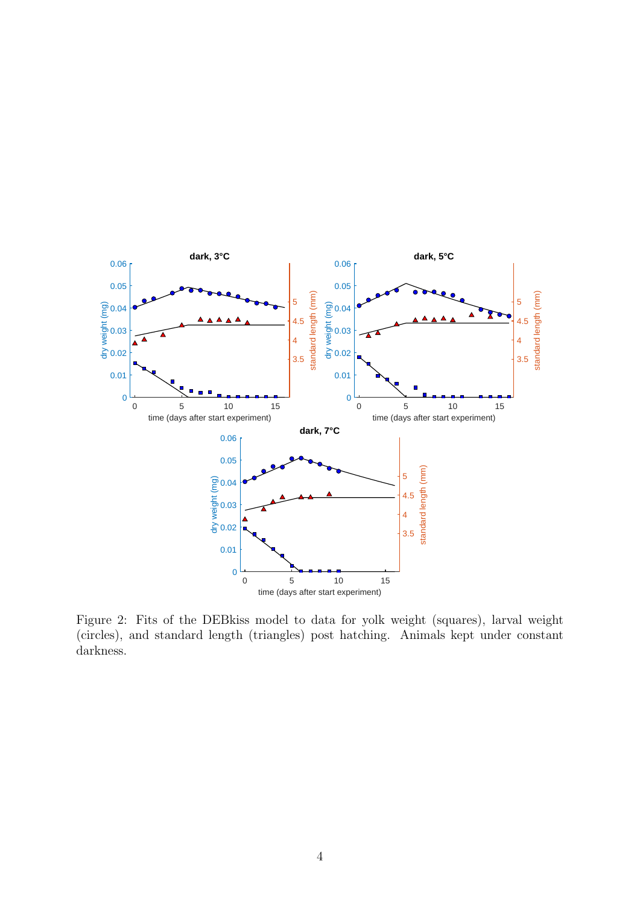

<span id="page-3-0"></span>Figure 2: Fits of the DEBkiss model to data for yolk weight (squares), larval weight (circles), and standard length (triangles) post hatching. Animals kept under constant darkness.